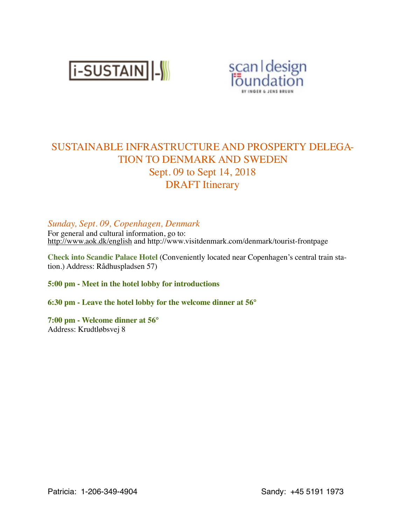



# SUSTAINABLE INFRASTRUCTURE AND PROSPERTY DELEGA-TION TO DENMARK AND SWEDEN Sept. 09 to Sept 14, 2018 DRAFT Itinerary

## *Sunday, Sept. 09, Copenhagen, Denmark*

For general and cultural information, go to: <http://www.aok.dk/english> and http://www.visitdenmark.com/denmark/tourist-frontpage

**Check into Scandic Palace Hotel** (Conveniently located near Copenhagen's central train station.) Address: Rådhuspladsen 57)

**5:00 pm - Meet in the hotel lobby for introductions**

**6:30 pm - Leave the hotel lobby for the welcome dinner at 56°** 

**7:00 pm - Welcome dinner at 56°**  Address: Krudtløbsvej 8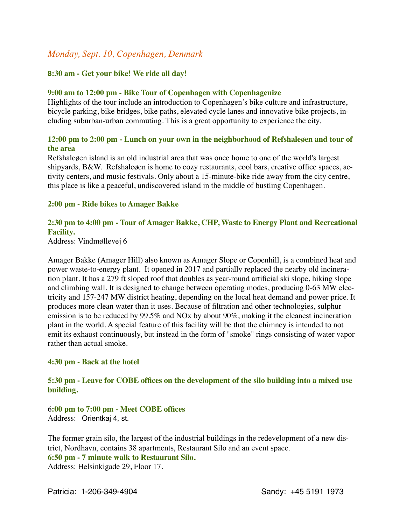# *Monday, Sept. 10, Copenhagen, Denmark*

#### **8:30 am - Get your bike! We ride all day!**

#### **9:00 am to 12:00 pm - Bike Tour of Copenhagen with Copenhagenize**

Highlights of the tour include an introduction to Copenhagen's bike culture and infrastructure, bicycle parking, bike bridges, bike paths, elevated cycle lanes and innovative bike projects, including suburban-urban commuting. This is a great opportunity to experience the city.

#### **12:00 pm to 2:00 pm - Lunch on your own in the neighborhood of Refshaleøen and tour of the area**

Refshaleøen island is an old industrial area that was once home to one of the world's largest shipyards, B&W. Refshaleøen is home to cozy restaurants, cool bars, creative office spaces, activity centers, and music festivals. Only about a 15-minute-bike ride away from the city centre, this place is like a peaceful, undiscovered island in the middle of bustling Copenhagen.

#### **2:00 pm - Ride bikes to Amager Bakke**

### **2:30 pm to 4:00 pm - Tour of Amager Bakke, CHP, Waste to Energy Plant and Recreational Facility.**

Address: Vindmøllevej 6

Amager Bakke (Amager Hill) also known as Amager Slope or Copenhill, is a combined heat and power waste-to-energy plant. It opened in 2017 and partially replaced the nearby old incineration plant. It has a 279 ft sloped roof that doubles as year-round artificial ski slope, hiking slope and climbing wall. It is designed to change between operating modes, producing 0-63 MW electricity and 157-247 MW district heating, depending on the local heat demand and power price. It produces more clean water than it uses. Because of filtration and other technologies, sulphur emission is to be reduced by 99.5% and NOx by about 90%, making it the cleanest incineration plant in the world. A special feature of this facility will be that the chimney is intended to not emit its exhaust continuously, but instead in the form of "smoke" rings consisting of water vapor rather than actual smoke.

#### **4:30 pm - Back at the hotel**

#### **5:30 pm - Leave for COBE offices on the development of the silo building into a mixed use building.**

6**:00 pm to 7:00 pm - Meet COBE offices** Address: Orientkaj 4, st.

The former grain silo, the largest of the industrial buildings in the redevelopment of a new district, Nordhavn, contains 38 apartments, Restaurant Silo and an event space. **6:50 pm - 7 minute walk to Restaurant Silo.**  Address: Helsinkigade 29, Floor 17.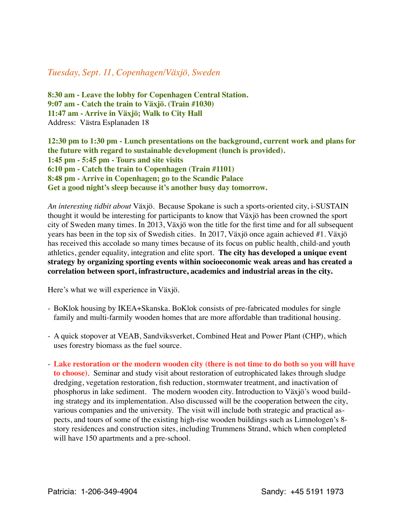# *Tuesday, Sept. 11, Copenhagen/Växjö, Sweden*

**8:30 am - Leave the lobby for Copenhagen Central Station. 9:07 am - Catch the train to Växjö. (Train #1030) 11:47 am - Arrive in Växjö; Walk to City Hall** Address: Västra Esplanaden 18

**12:30 pm to 1:30 pm - Lunch presentations on the background, current work and plans for the future with regard to sustainable development (lunch is provided). 1:45 pm - 5:45 pm - Tours and site visits 6:10 pm - Catch the train to Copenhagen (Train #1101) 8:48 pm - Arrive in Copenhagen; go to the Scandic Palace Get a good night's sleep because it's another busy day tomorrow.**

*An interesting tidbit about* Växjö*.* Because Spokane is such a sports-oriented city, i-SUSTAIN thought it would be interesting for participants to know that Växjö has been crowned the sport city of Sweden many times. In 2013, Växjö won the title for the first time and for all subsequent years has been in the top six of Swedish cities. In 2017, Växjö once again achieved #1. Växjö has received this accolade so many times because of its focus on public health, child-and youth athletics, gender equality, integration and elite sport. **The city has developed a unique event strategy by organizing sporting events within socioeconomic weak areas and has created a correlation between sport, infrastructure, academics and industrial areas in the city.**

Here's what we will experience in Växjö.

- BoKlok housing by IKEA+Skanska. BoKlok consists of pre-fabricated modules for single family and multi-farmily wooden homes that are more affordable than traditional housing.
- A quick stopover at VEAB, Sandviksverket, Combined Heat and Power Plant (CHP), which uses forestry biomass as the fuel source.
- **Lake restoration or the modern wooden city (there is not time to do both so you will have to choose)**. Seminar and study visit about restoration of eutrophicated lakes through sludge dredging, vegetation restoration, fish reduction, stormwater treatment, and inactivation of phosphorus in lake sediment. The modern wooden city. Introduction to Växjö's wood building strategy and its implementation. Also discussed will be the cooperation between the city, various companies and the university. The visit will include both strategic and practical aspects, and tours of some of the existing high-rise wooden buildings such as Limnologen's 8 story residences and construction sites, including Trummens Strand, which when completed will have 150 apartments and a pre-school.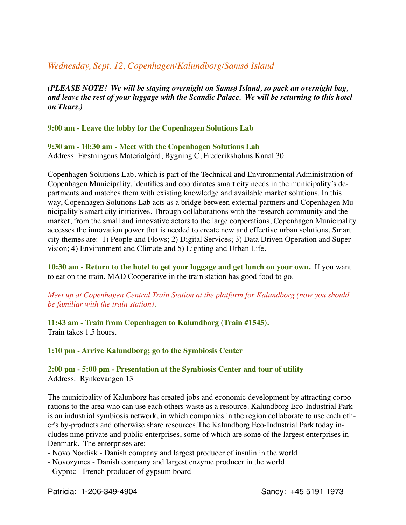# *Wednesday, Sept. 12, Copenhagen/Kalundborg/Samsø Island*

*(PLEASE NOTE! We will be staying overnight on Samsø Island, so pack an overnight bag, and leave the rest of your luggage with the Scandic Palace. We will be returning to this hotel on Thurs.)*

**9:00 am - Leave the lobby for the Copenhagen Solutions Lab** 

**9:30 am - 10:30 am - Meet with the Copenhagen Solutions Lab** Address: Fæstningens Materialgård, Bygning C, Frederiksholms Kanal 30

Copenhagen Solutions Lab, which is part of the Technical and Environmental Administration of Copenhagen Municipality, identifies and coordinates smart city needs in the municipality's departments and matches them with existing knowledge and available market solutions. In this way, Copenhagen Solutions Lab acts as a bridge between external partners and Copenhagen Municipality's smart city initiatives. Through collaborations with the research community and the market, from the small and innovative actors to the large corporations, Copenhagen Municipality accesses the innovation power that is needed to create new and effective urban solutions. Smart city themes are: 1) People and Flows; 2) Digital Services; 3) Data Driven Operation and Supervision; 4) Environment and Climate and 5) Lighting and Urban Life.

**10:30 am - Return to the hotel to get your luggage and get lunch on your own.** If you want to eat on the train, MAD Cooperative in the train station has good food to go.

*Meet up at Copenhagen Central Train Station at the platform for Kalundborg (now you should be familiar with the train station)*.

**11:43 am - Train from Copenhagen to Kalundborg (Train #1545).**  Train takes 1.5 hours.

**1:10 pm - Arrive Kalundborg; go to the Symbiosis Center**

**2:00 pm - 5:00 pm - Presentation at the Symbiosis Center and tour of utility**  Address: Rynkevangen 13

The municipality of Kalunborg has created jobs and economic development by attracting corporations to the area who can use each others waste as a resource. Kalundborg Eco-Industrial Park is an industrial symbiosis network, in which companies in the region collaborate to use each other's by-products and otherwise share resources.The Kalundborg Eco-Industrial Park today includes nine private and public enterprises, some of which are some of the largest enterprises in Denmark. The enterprises are:

- Novo Nordisk - Danish company and largest producer of insulin in the world

- Novozymes Danish company and largest enzyme producer in the world
- Gyproc French producer of gypsum board

Patricia: 1-206-349-4904 Sandy: +45 5191 1973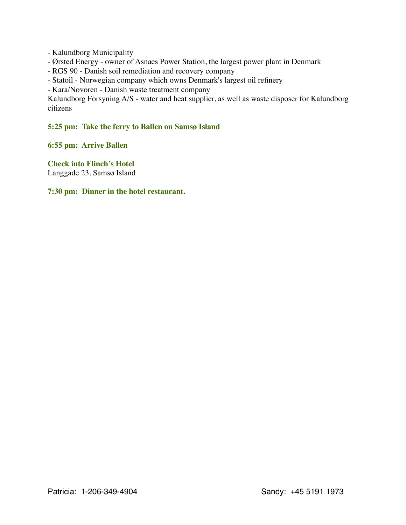- Kalundborg Municipality

- Ørsted Energy owner of Asnaes Power Station, the largest power plant in Denmark
- RGS 90 Danish soil remediation and recovery company
- Statoil Norwegian company which owns Denmark's largest oil refinery

- Kara/Novoren - Danish waste treatment company

Kalundborg Forsyning A/S - water and heat supplier, as well as waste disposer for Kalundborg citizens

#### **5:25 pm: Take the ferry to Ballen on Samsø Island**

**6:55 pm: Arrive Ballen**

**Check into Flinch's Hotel** Langgade 23, Samsø Island

**7:30 pm: Dinner in the hotel restaurant.**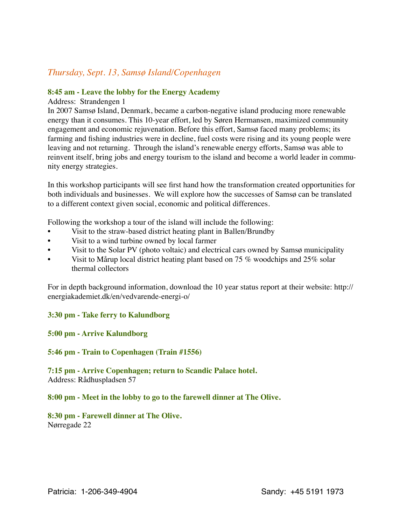# *Thursday, Sept. 13, Samsø Island/Copenhagen*

#### **8:45 am - Leave the lobby for the Energy Academy**

#### Address: Strandengen 1

In 2007 Samsø Island, Denmark, became a carbon-negative island producing more renewable energy than it consumes. This 10-year effort, led by Søren Hermansen, maximized community engagement and economic rejuvenation. Before this effort, Samsø faced many problems; its farming and fishing industries were in decline, fuel costs were rising and its young people were leaving and not returning. Through the island's renewable energy efforts, Samsø was able to reinvent itself, bring jobs and energy tourism to the island and become a world leader in community energy strategies.

In this workshop participants will see first hand how the transformation created opportunities for both individuals and businesses. We will explore how the successes of Samsø can be translated to a different context given social, economic and political differences.

Following the workshop a tour of the island will include the following:

- Visit to the straw-based district heating plant in Ballen/Brundby
- Visit to a wind turbine owned by local farmer
- Visit to the Solar PV (photo voltaic) and electrical cars owned by Sams *municipality*
- Visit to Mårup local district heating plant based on 75 % woodchips and  $25\%$  solar thermal collectors

For in depth background information, download the 10 year status report at their website: http:// energiakademiet.dk/en/vedvarende-energi-o/

### **3:30 pm - Take ferry to Kalundborg**

### **5:00 pm - Arrive Kalundborg**

#### **5:46 pm - Train to Copenhagen (Train #1556)**

**7:15 pm - Arrive Copenhagen; return to Scandic Palace hotel.** Address: Rådhuspladsen 57

#### **8:00 pm - Meet in the lobby to go to the farewell dinner at The Olive.**

#### **8:30 pm - Farewell dinner at The Olive.** Nørregade 22